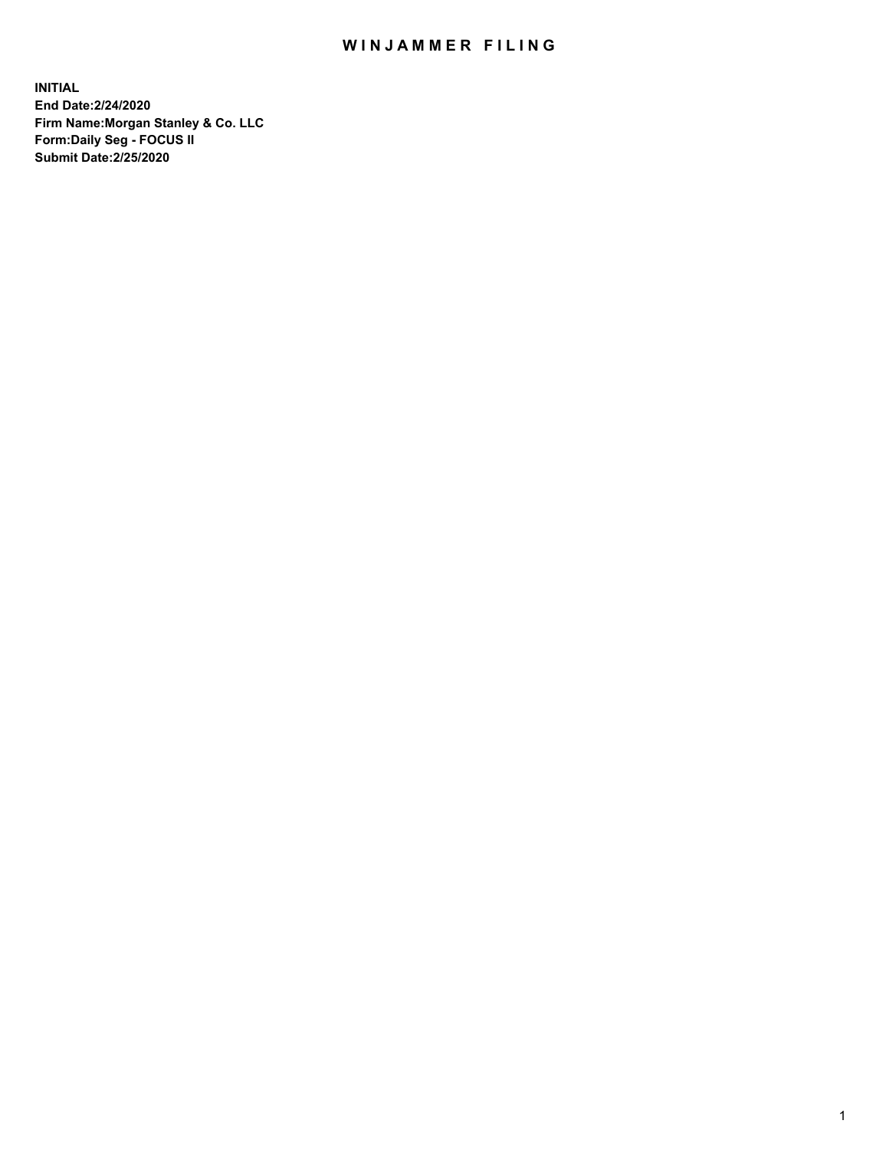## WIN JAMMER FILING

**INITIAL End Date:2/24/2020 Firm Name:Morgan Stanley & Co. LLC Form:Daily Seg - FOCUS II Submit Date:2/25/2020**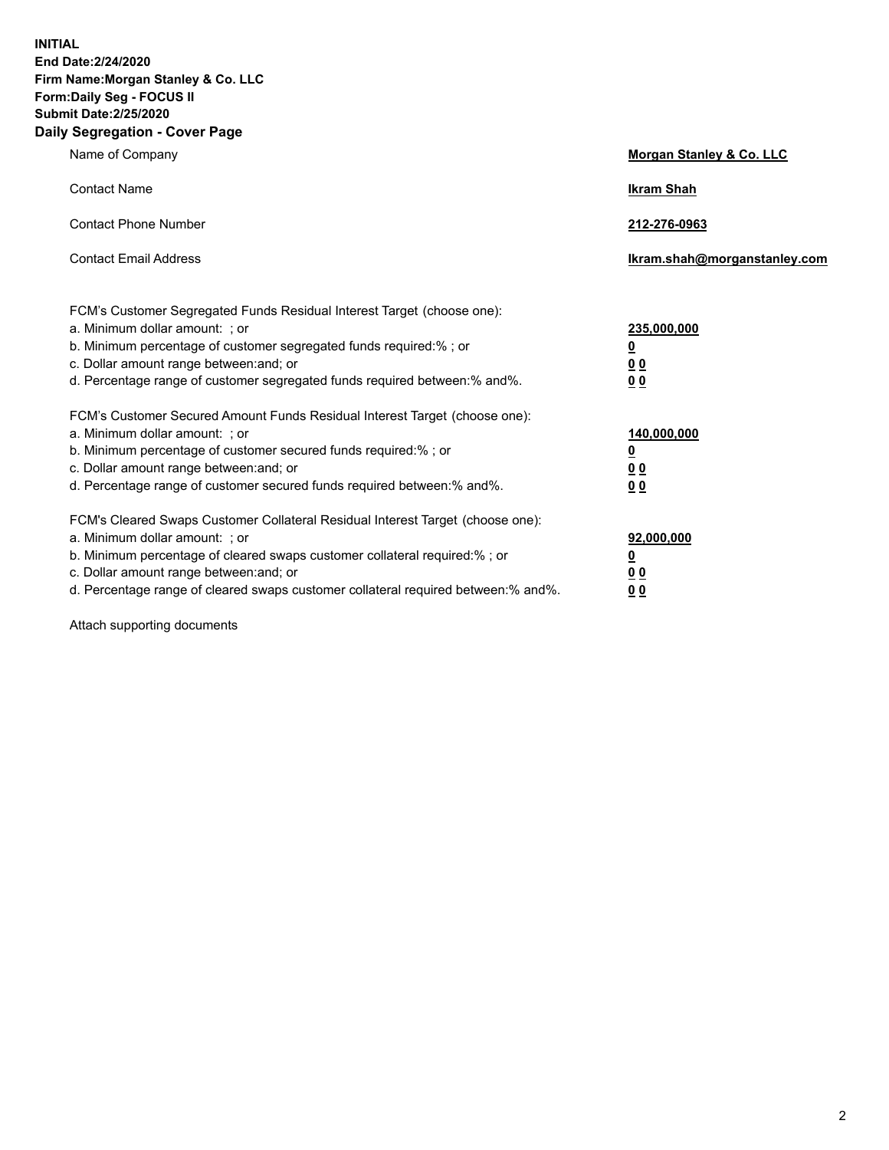**INITIAL End Date:2/24/2020 Firm Name:Morgan Stanley & Co. LLC Form:Daily Seg - FOCUS II Submit Date:2/25/2020 Daily Segregation - Cover Page**

| Name of Company                                                                                                                                                                                                                                                                                                                | Morgan Stanley & Co. LLC                                    |
|--------------------------------------------------------------------------------------------------------------------------------------------------------------------------------------------------------------------------------------------------------------------------------------------------------------------------------|-------------------------------------------------------------|
| <b>Contact Name</b>                                                                                                                                                                                                                                                                                                            | <b>Ikram Shah</b>                                           |
| <b>Contact Phone Number</b>                                                                                                                                                                                                                                                                                                    | 212-276-0963                                                |
| <b>Contact Email Address</b>                                                                                                                                                                                                                                                                                                   | Ikram.shah@morganstanley.com                                |
| FCM's Customer Segregated Funds Residual Interest Target (choose one):<br>a. Minimum dollar amount: ; or<br>b. Minimum percentage of customer segregated funds required:% ; or<br>c. Dollar amount range between: and; or<br>d. Percentage range of customer segregated funds required between: % and %.                       | 235,000,000<br><u>0</u><br>00<br>0 <sub>0</sub>             |
| FCM's Customer Secured Amount Funds Residual Interest Target (choose one):<br>a. Minimum dollar amount: ; or<br>b. Minimum percentage of customer secured funds required:%; or<br>c. Dollar amount range between: and; or<br>d. Percentage range of customer secured funds required between:% and%.                            | 140,000,000<br><u>0</u><br>0 <sub>0</sub><br>0 <sub>0</sub> |
| FCM's Cleared Swaps Customer Collateral Residual Interest Target (choose one):<br>a. Minimum dollar amount: ; or<br>b. Minimum percentage of cleared swaps customer collateral required:% ; or<br>c. Dollar amount range between: and; or<br>d. Percentage range of cleared swaps customer collateral required between:% and%. | 92,000,000<br><u>0</u><br>0 Q<br>0 <sub>0</sub>             |

Attach supporting documents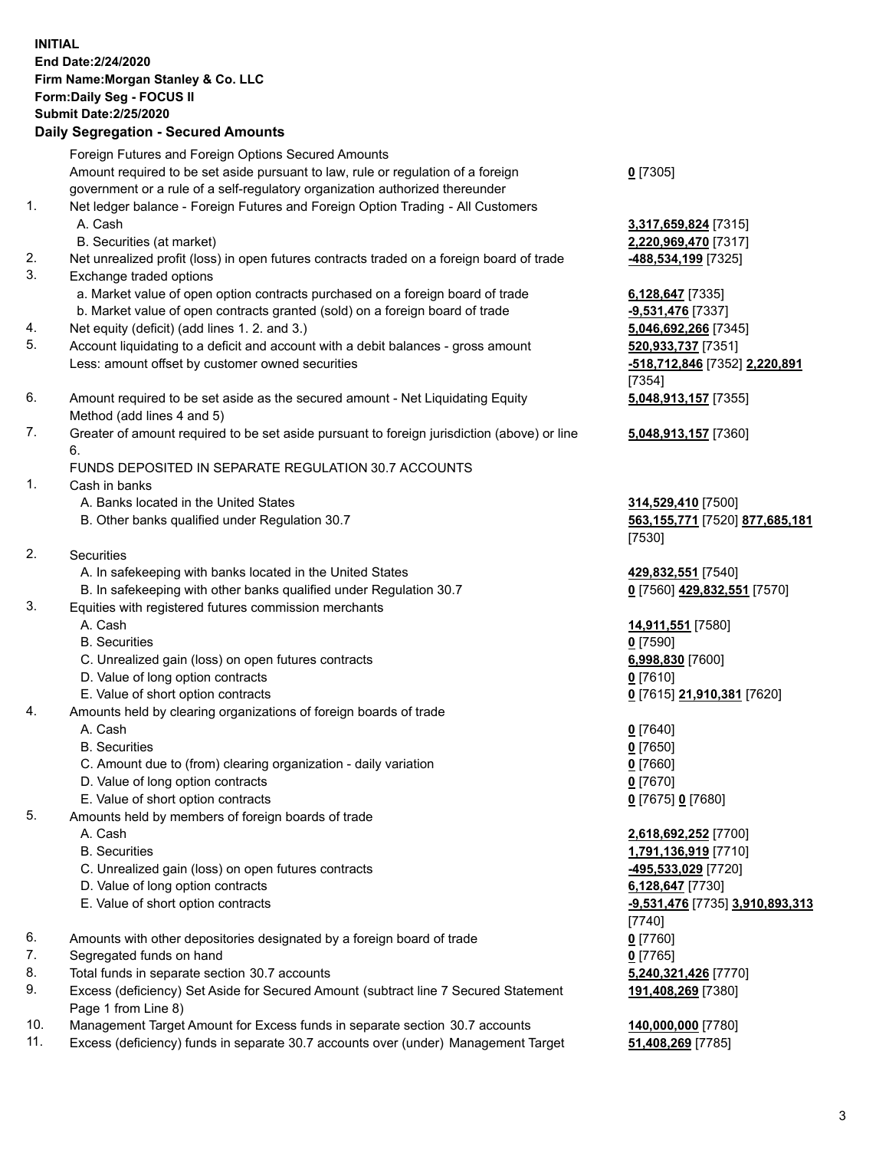## **INITIAL End Date:2/24/2020 Firm Name:Morgan Stanley & Co. LLC Form:Daily Seg - FOCUS II Submit Date:2/25/2020 Daily Segregation - Secured Amounts** Foreign Futures and Foreign Options Secured Amounts Amount required to be set aside pursuant to law, rule or regulation of a foreign government or a rule of a self-regulatory organization authorized thereunder **0** [7305] 1. Net ledger balance - Foreign Futures and Foreign Option Trading - All Customers A. Cash **3,317,659,824** [7315] B. Securities (at market) **2,220,969,470** [7317] 2. Net unrealized profit (loss) in open futures contracts traded on a foreign board of trade **-488,534,199** [7325] 3. Exchange traded options a. Market value of open option contracts purchased on a foreign board of trade **6,128,647** [7335] b. Market value of open contracts granted (sold) on a foreign board of trade **-9,531,476** [7337] 4. Net equity (deficit) (add lines 1. 2. and 3.) **5,046,692,266** [7345] 5. Account liquidating to a deficit and account with a debit balances - gross amount **520,933,737** [7351] Less: amount offset by customer owned securities **-518,712,846** [7352] **2,220,891** 6. Amount required to be set aside as the secured amount - Net Liquidating Equity Method (add lines 4 and 5) 7. Greater of amount required to be set aside pursuant to foreign jurisdiction (above) or line 6. FUNDS DEPOSITED IN SEPARATE REGULATION 30.7 ACCOUNTS 1. Cash in banks A. Banks located in the United States **314,529,410** [7500] B. Other banks qualified under Regulation 30.7 **563,155,771** [7520] **877,685,181** 2. Securities A. In safekeeping with banks located in the United States **429,832,551** [7540] B. In safekeeping with other banks qualified under Regulation 30.7 **0** [7560] **429,832,551** [7570] 3. Equities with registered futures commission merchants A. Cash **14,911,551** [7580] B. Securities **0** [7590] C. Unrealized gain (loss) on open futures contracts **6,998,830** [7600] D. Value of long option contracts **0** [7610] E. Value of short option contracts **0** [7615] **21,910,381** [7620] 4. Amounts held by clearing organizations of foreign boards of trade A. Cash **0** [7640] B. Securities **0** [7650] C. Amount due to (from) clearing organization - daily variation **0** [7660] D. Value of long option contracts **0** [7670] E. Value of short option contracts **0** [7675] **0** [7680] 5. Amounts held by members of foreign boards of trade A. Cash **2,618,692,252** [7700] B. Securities **1,791,136,919** [7710] C. Unrealized gain (loss) on open futures contracts **-495,533,029** [7720] D. Value of long option contracts **6,128,647** [7730] E. Value of short option contracts **-9,531,476** [7735] **3,910,893,313** 6. Amounts with other depositories designated by a foreign board of trade **0** [7760] 7. Segregated funds on hand **0** [7765] 8. Total funds in separate section 30.7 accounts **5,240,321,426** [7770]

- 9. Excess (deficiency) Set Aside for Secured Amount (subtract line 7 Secured Statement Page 1 from Line 8)
- 10. Management Target Amount for Excess funds in separate section 30.7 accounts **140,000,000** [7780]
- 11. Excess (deficiency) funds in separate 30.7 accounts over (under) Management Target **51,408,269** [7785]

[7354] **5,048,913,157** [7355]

**5,048,913,157** [7360]

[7530]

[7740] **191,408,269** [7380]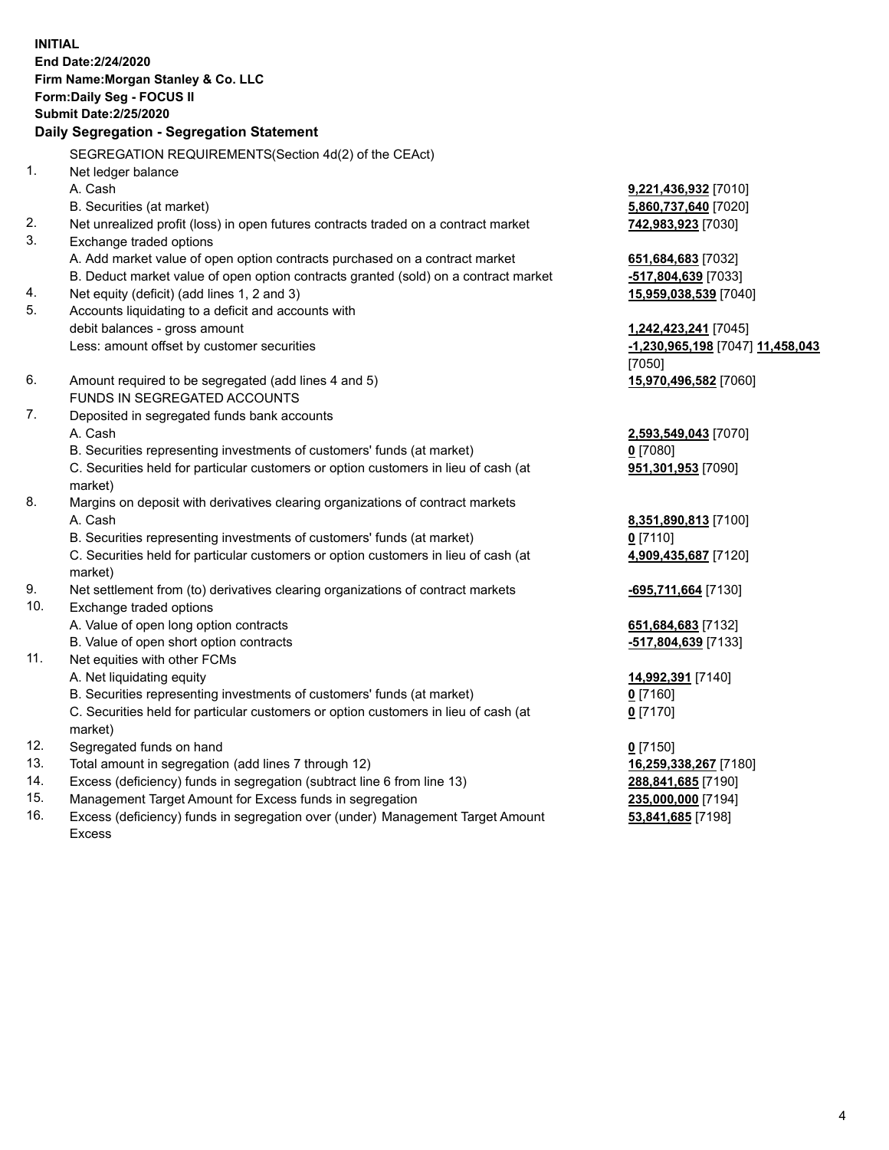**INITIAL End Date:2/24/2020 Firm Name:Morgan Stanley & Co. LLC Form:Daily Seg - FOCUS II Submit Date:2/25/2020 Daily Segregation - Segregation Statement** SEGREGATION REQUIREMENTS(Section 4d(2) of the CEAct) 1. Net ledger balance A. Cash **9,221,436,932** [7010] B. Securities (at market) **5,860,737,640** [7020] 2. Net unrealized profit (loss) in open futures contracts traded on a contract market **742,983,923** [7030] 3. Exchange traded options A. Add market value of open option contracts purchased on a contract market **651,684,683** [7032] B. Deduct market value of open option contracts granted (sold) on a contract market **-517,804,639** [7033] 4. Net equity (deficit) (add lines 1, 2 and 3) **15,959,038,539** [7040] 5. Accounts liquidating to a deficit and accounts with debit balances - gross amount **1,242,423,241** [7045] Less: amount offset by customer securities **-1,230,965,198** [7047] **11,458,043** [7050] 6. Amount required to be segregated (add lines 4 and 5) **15,970,496,582** [7060] FUNDS IN SEGREGATED ACCOUNTS 7. Deposited in segregated funds bank accounts A. Cash **2,593,549,043** [7070] B. Securities representing investments of customers' funds (at market) **0** [7080] C. Securities held for particular customers or option customers in lieu of cash (at market) **951,301,953** [7090] 8. Margins on deposit with derivatives clearing organizations of contract markets A. Cash **8,351,890,813** [7100] B. Securities representing investments of customers' funds (at market) **0** [7110] C. Securities held for particular customers or option customers in lieu of cash (at market) **4,909,435,687** [7120] 9. Net settlement from (to) derivatives clearing organizations of contract markets **-695,711,664** [7130] 10. Exchange traded options A. Value of open long option contracts **651,684,683** [7132] B. Value of open short option contracts **and the set of our original contracts -517,804,639** [7133] 11. Net equities with other FCMs A. Net liquidating equity **14,992,391** [7140] B. Securities representing investments of customers' funds (at market) **0** [7160] C. Securities held for particular customers or option customers in lieu of cash (at market) **0** [7170] 12. Segregated funds on hand **0** [7150] 13. Total amount in segregation (add lines 7 through 12) **16,259,338,267** [7180] 14. Excess (deficiency) funds in segregation (subtract line 6 from line 13) **288,841,685** [7190] 15. Management Target Amount for Excess funds in segregation **235,000,000** [7194]

16. Excess (deficiency) funds in segregation over (under) Management Target Amount Excess

**53,841,685** [7198]